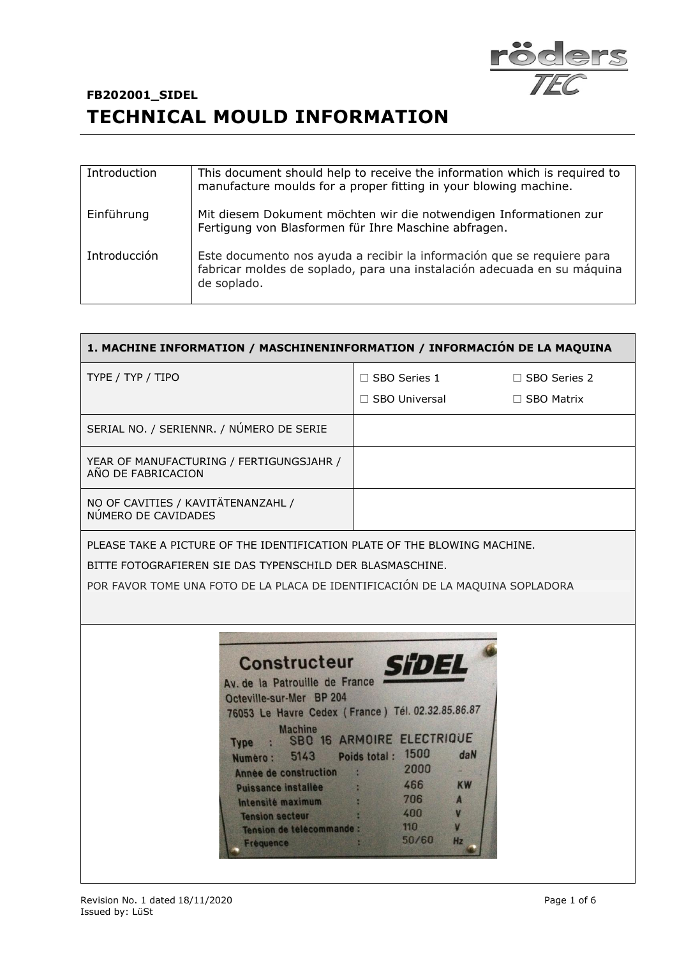

| Introduction | This document should help to receive the information which is required to<br>manufacture moulds for a proper fitting in your blowing machine.                    |
|--------------|------------------------------------------------------------------------------------------------------------------------------------------------------------------|
| Einführung   | Mit diesem Dokument möchten wir die notwendigen Informationen zur<br>Fertigung von Blasformen für Ihre Maschine abfragen.                                        |
| Introducción | Este documento nos ayuda a recibir la información que se requiere para<br>fabricar moldes de soplado, para una instalación adecuada en su máquina<br>de soplado. |

| 1. MACHINE INFORMATION / MASCHINENINFORMATION / INFORMACIÓN DE LA MAQUINA                                                                                                                                                                                                                                                                                                                                                              |                                                                                                                                                    |                                          |  |
|----------------------------------------------------------------------------------------------------------------------------------------------------------------------------------------------------------------------------------------------------------------------------------------------------------------------------------------------------------------------------------------------------------------------------------------|----------------------------------------------------------------------------------------------------------------------------------------------------|------------------------------------------|--|
| TYPE / TYP / TIPO                                                                                                                                                                                                                                                                                                                                                                                                                      | $\Box$ SBO Series 1<br>□ SBO Universal                                                                                                             | $\Box$ SBO Series 2<br>$\Box$ SBO Matrix |  |
| SERIAL NO. / SERIENNR. / NÚMERO DE SERIE                                                                                                                                                                                                                                                                                                                                                                                               |                                                                                                                                                    |                                          |  |
| YEAR OF MANUFACTURING / FERTIGUNGSJAHR /<br>AÑO DE FABRICACION                                                                                                                                                                                                                                                                                                                                                                         |                                                                                                                                                    |                                          |  |
| NO OF CAVITIES / KAVITÄTENANZAHL /<br>NÚMERO DE CAVIDADES                                                                                                                                                                                                                                                                                                                                                                              |                                                                                                                                                    |                                          |  |
| POR FAVOR TOME UNA FOTO DE LA PLACA DE IDENTIFICACIÓN DE LA MAQUINA SOPLADORA<br><b>Constructeur</b><br>Av. de la Patrouille de France<br>Octeville-sur-Mer BP 204<br>76053 Le Havre Cedex (France) Tél. 02.32.85.86.87<br><b>Machine</b><br><b>Type</b><br>5143<br>Numero:<br>Année de construction<br>$\mathcal{L}$<br><b>Puissance installee</b><br>Intensité maximum<br><b>Tension secteur</b><br><b>Tension de telecommande :</b> | <b>SHDEL</b><br>: SBO 16 ARMOIRE ELECTRIQUE<br>Poids total: 1500<br>daN<br>2000<br>466<br><b>KW</b><br>706<br>$\mathbf{A}$<br>400<br>V<br>110<br>V |                                          |  |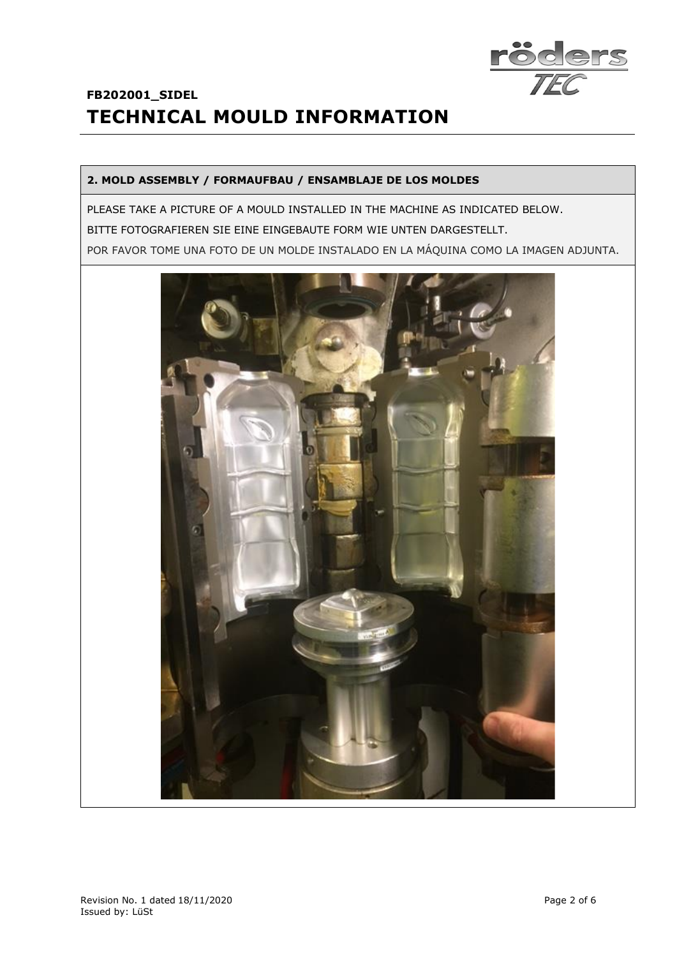

#### **2. MOLD ASSEMBLY / FORMAUFBAU / ENSAMBLAJE DE LOS MOLDES**

PLEASE TAKE A PICTURE OF A MOULD INSTALLED IN THE MACHINE AS INDICATED BELOW. BITTE FOTOGRAFIEREN SIE EINE EINGEBAUTE FORM WIE UNTEN DARGESTELLT. POR FAVOR TOME UNA FOTO DE UN MOLDE INSTALADO EN LA MÁQUINA COMO LA IMAGEN ADJUNTA.

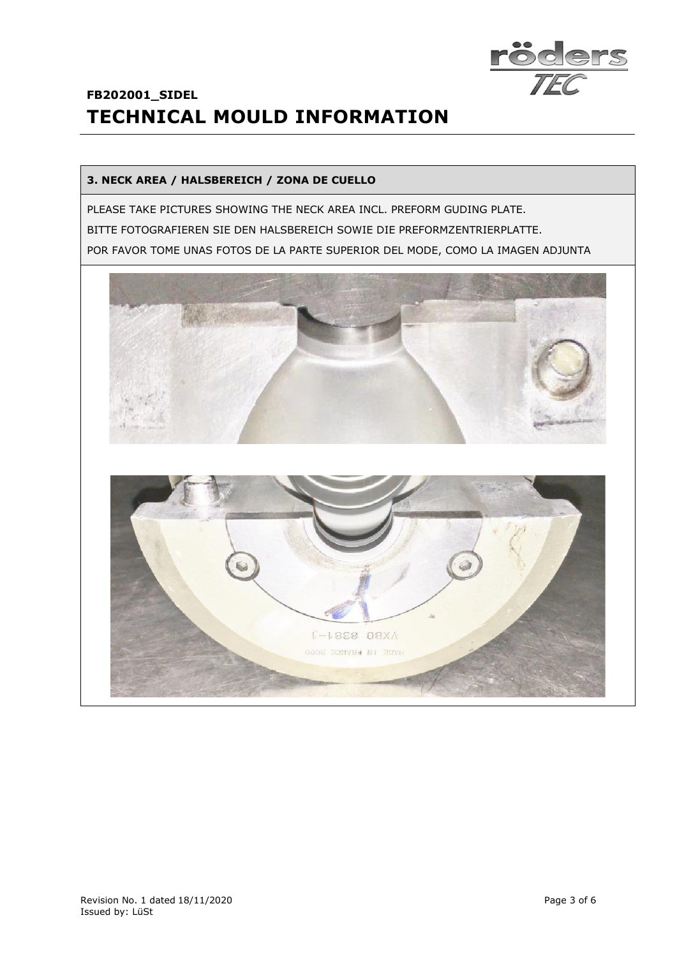

#### **3. NECK AREA / HALSBEREICH / ZONA DE CUELLO**

PLEASE TAKE PICTURES SHOWING THE NECK AREA INCL. PREFORM GUDING PLATE. BITTE FOTOGRAFIEREN SIE DEN HALSBEREICH SOWIE DIE PREFORMZENTRIERPLATTE. POR FAVOR TOME UNAS FOTOS DE LA PARTE SUPERIOR DEL MODE, COMO LA IMAGEN ADJUNTA

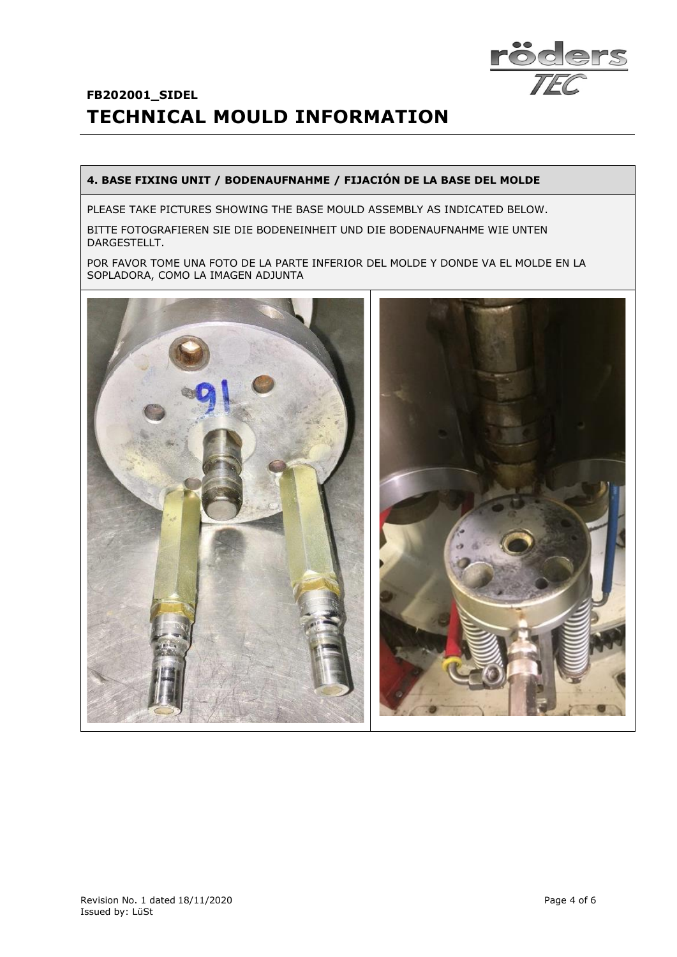

#### **4. BASE FIXING UNIT / BODENAUFNAHME / FIJACIÓN DE LA BASE DEL MOLDE**

PLEASE TAKE PICTURES SHOWING THE BASE MOULD ASSEMBLY AS INDICATED BELOW.

BITTE FOTOGRAFIEREN SIE DIE BODENEINHEIT UND DIE BODENAUFNAHME WIE UNTEN DARGESTELLT.

POR FAVOR TOME UNA FOTO DE LA PARTE INFERIOR DEL MOLDE Y DONDE VA EL MOLDE EN LA SOPLADORA, COMO LA IMAGEN ADJUNTA

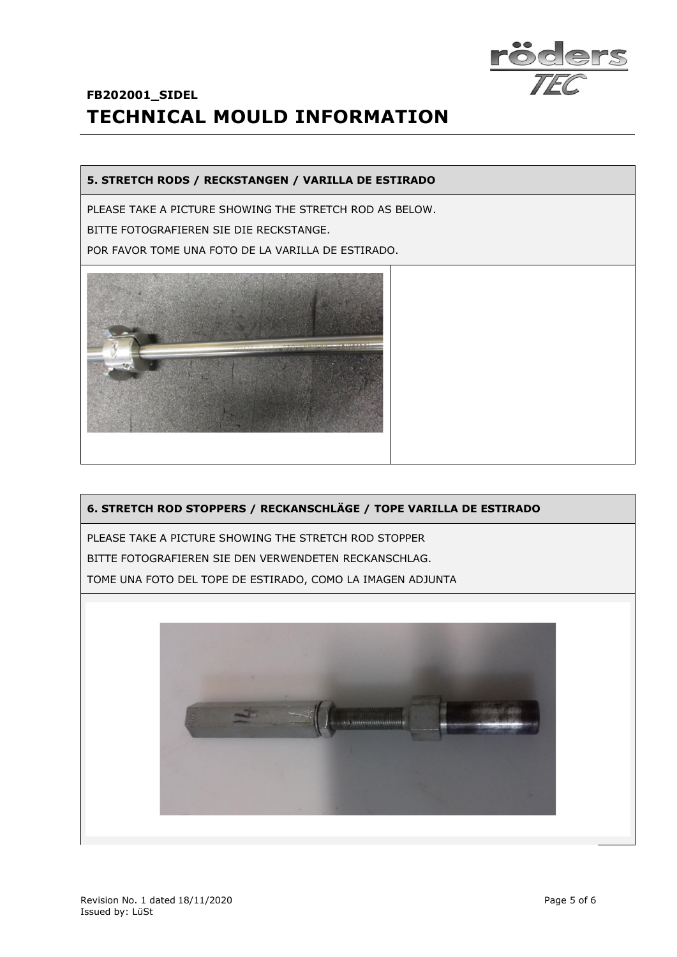

#### **5. STRETCH RODS / RECKSTANGEN / VARILLA DE ESTIRADO**

PLEASE TAKE A PICTURE SHOWING THE STRETCH ROD AS BELOW.

BITTE FOTOGRAFIEREN SIE DIE RECKSTANGE.

POR FAVOR TOME UNA FOTO DE LA VARILLA DE ESTIRADO.



#### **6. STRETCH ROD STOPPERS / RECKANSCHLÄGE / TOPE VARILLA DE ESTIRADO**

PLEASE TAKE A PICTURE SHOWING THE STRETCH ROD STOPPER BITTE FOTOGRAFIEREN SIE DEN VERWENDETEN RECKANSCHLAG. TOME UNA FOTO DEL TOPE DE ESTIRADO, COMO LA IMAGEN ADJUNTA